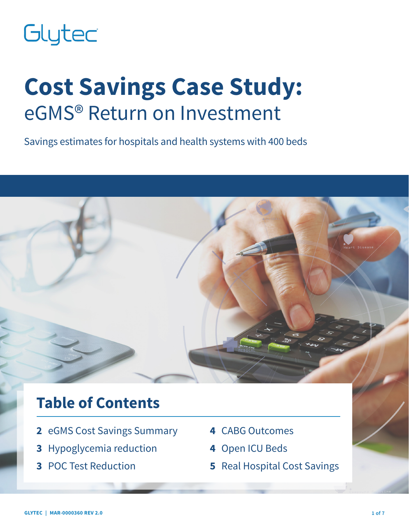# Glytec

# **Cost Savings Case Study:** eGMS® Return on Investment

Savings estimates for hospitals and health systems with 400 beds



# **Table of Contents**

- **2** eGMS Cost Savings Summary
- **3** Hypoglycemia reduction
- **3** POC Test Reduction
- **4** CABG Outcomes
- **4** Open ICU Beds
- **5** Real Hospital Cost Savings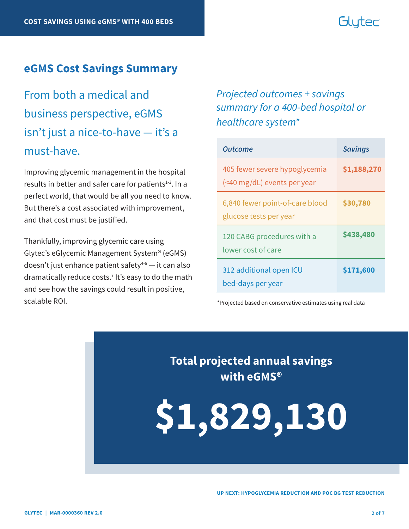# Glutec

#### **eGMS Cost Savings Summary**

From both a medical and business perspective, eGMS isn't just a nice-to-have — it's a must-have.

Improving glycemic management in the hospital results in better and safer care for patients $1-3$ . In a perfect world, that would be all you need to know. But there's a cost associated with improvement, and that cost must be justified.

Thankfully, improving glycemic care using Glytec's eGlycemic Management System® (eGMS) doesn't just enhance patient safety $4-6$  — it can also dramatically reduce costs.7 It's easy to do the math and see how the savings could result in positive, scalable ROI.

### *Projected outcomes + savings summary for a 400-bed hospital or healthcare system\**

| <b>Outcome</b>                                               | <b>Savings</b> |
|--------------------------------------------------------------|----------------|
| 405 fewer severe hypoglycemia<br>(<40 mg/dL) events per year | \$1,188,270    |
| 6,840 fewer point-of-care blood<br>glucose tests per year    | \$30,780       |
| 120 CABG procedures with a<br>lower cost of care             | \$438,480      |
| 312 additional open ICU<br>bed-days per year                 | \$171,600      |

\*Projected based on conservative estimates using real data

**Total projected annual savings with eGMS®**

**\$1,829,130**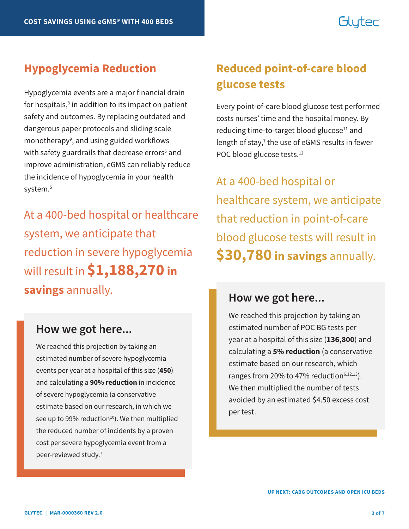# Glutec

Hypoglycemia events are a major financial drain for hospitals,<sup>8</sup> in addition to its impact on patient safety and outcomes. By replacing outdated and dangerous paper protocols and sliding scale monotherapy<sup>9</sup>, and using guided workflows with safety guardrails that decrease errors<sup>6</sup> and improve administration, eGMS can reliably reduce the incidence of hypoglycemia in your health system.<sup>5</sup>

At a 400-bed hospital or healthcare system, we anticipate that reduction in severe hypoglycemia will result in **\$1,188,270 in savings** annually.

### **How we got here...**

We reached this projection by taking an estimated number of severe hypoglycemia events per year at a hospital of this size (**450**) and calculating a **90% reduction** in incidence of severe hypoglycemia (a conservative estimate based on our research, in which we see up to 99% reduction<sup>10</sup>). We then multiplied the reduced number of incidents by a proven cost per severe hypoglycemia event from a peer-reviewed study.<sup>7</sup>

## **Hypoglycemia Reduction Reduced point-of-care blood glucose tests**

Every point-of-care blood glucose test performed costs nurses' time and the hospital money. By reducing time-to-target blood glucose<sup>11</sup> and length of stay,<sup>7</sup> the use of eGMS results in fewer POC blood glucose tests.<sup>12</sup>

At a 400-bed hospital or healthcare system, we anticipate that reduction in point-of-care blood glucose tests will result in **\$30,780 in savings** annually.

#### **How we got here...**

We reached this projection by taking an estimated number of POC BG tests per year at a hospital of this size (**136,800**) and calculating a **5% reduction** (a conservative estimate based on our research, which ranges from 20% to 47% reduction $6,12,13$ ). We then multiplied the number of tests avoided by an estimated \$4.50 excess cost per test.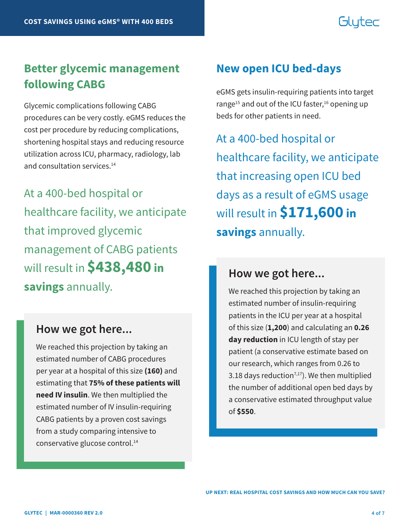# Glutec

## **Better glycemic management following CABG**

Glycemic complications following CABG procedures can be very costly. eGMS reduces the cost per procedure by reducing complications, shortening hospital stays and reducing resource utilization across ICU, pharmacy, radiology, lab and consultation services.<sup>14</sup>

At a 400-bed hospital or healthcare facility, we anticipate that improved glycemic management of CABG patients will result in **\$438,480 in savings** annually.

#### **How we got here...**

We reached this projection by taking an estimated number of CABG procedures per year at a hospital of this size **(160)** and estimating that **75% of these patients will need IV insulin**. We then multiplied the estimated number of IV insulin-requiring CABG patients by a proven cost savings from a study comparing intensive to conservative glucose control.14

#### **New open ICU bed-days**

eGMS gets insulin-requiring patients into target range<sup>15</sup> and out of the ICU faster,<sup>16</sup> opening up beds for other patients in need.

At a 400-bed hospital or healthcare facility, we anticipate that increasing open ICU bed days as a result of eGMS usage will result in **\$171,600 in savings** annually.

#### **How we got here...**

We reached this projection by taking an estimated number of insulin-requiring patients in the ICU per year at a hospital of this size (**1,200**) and calculating an **0.26 day reduction** in ICU length of stay per patient (a conservative estimate based on our research, which ranges from 0.26 to 3.18 days reduction<sup>7,17</sup>). We then multiplied the number of additional open bed days by a conservative estimated throughput value of **\$550**.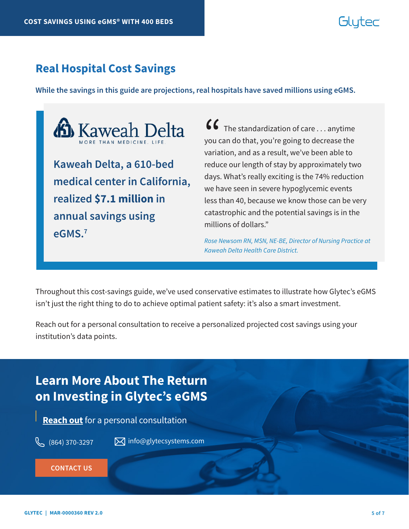# Gluter

### **Real Hospital Cost Savings**

**While the savings in this guide are projections, real hospitals have saved millions using eGMS.** 



**medical center in California, realized \$7.1 million in annual savings using eGMS.7**

 $\bullet\bullet\bullet\bullet$  The standardization of care  $\ldots$  anytime you can do that, you're going to decrease the variation, and as a result, we've been able to reduce our length of stay by approximately two days. What's really exciting is the 74% reduction we have seen in severe hypoglycemic events less than 40, because we know those can be very catastrophic and the potential savings is in the millions of dollars."  $\binom{6}{}$ you c<br>varia

*Rose Newsom RN, MSN, NE-BE, Director of Nursing Practice at Kaweah Delta Health Care District.*

Throughout this cost-savings guide, we've used conservative estimates to illustrate how Glytec's eGMS isn't just the right thing to do to achieve optimal patient safety: it's also a smart investment.

Reach out for a personal consultation to receive a personalized projected cost savings using your institution's data points.

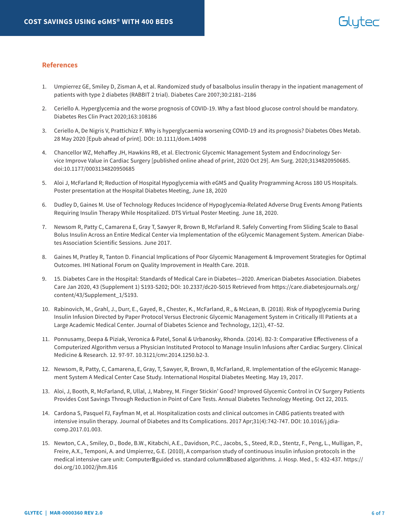#### **References**

- 1. Umpierrez GE, Smiley D, Zisman A, et al. Randomized study of basalbolus insulin therapy in the inpatient management of patients with type 2 diabetes (RABBIT 2 trial). Diabetes Care 2007;30:2181–2186
- 2. Ceriello A. Hyperglycemia and the worse prognosis of COVID-19. Why a fast blood glucose control should be mandatory. Diabetes Res Clin Pract 2020;163:108186
- 3. Ceriello A, De Nigris V, Prattichizz F. Why is hyperglycaemia worsening COVID-19 and its prognosis? Diabetes Obes Metab. 28 May 2020 [Epub ahead of print]. DOI: 10.1111/dom.14098
- 4. Chancellor WZ, Mehaffey JH, Hawkins RB, et al. Electronic Glycemic Management System and Endocrinology Service Improve Value in Cardiac Surgery [published online ahead of print, 2020 Oct 29]. Am Surg. 2020;3134820950685. doi:10.1177/0003134820950685
- 5. Aloi J, McFarland R; Reduction of Hospital Hypoglycemia with eGMS and Quality Programming Across 180 US Hospitals. Poster presentation at the Hospital Diabetes Meeting, June 18, 2020
- 6. Dudley D, Gaines M. Use of Technology Reduces Incidence of Hypoglycemia-Related Adverse Drug Events Among Patients Requiring Insulin Therapy While Hospitalized. DTS Virtual Poster Meeting. June 18, 2020.
- 7. Newsom R, Patty C, Camarena E, Gray T, Sawyer R, Brown B, McFarland R. Safely Converting From Sliding Scale to Basal Bolus Insulin Across an Entire Medical Center via Implementation of the eGlycemic Management System. American Diabetes Association Scientific Sessions. June 2017.
- 8. Gaines M, Pratley R, Tanton D. Financial Implications of Poor Glycemic Management & Improvement Strategies for Optimal Outcomes. IHI National Forum on Quality Improvement in Health Care. 2018.
- 9. 15. Diabetes Care in the Hospital: Standards of Medical Care in Diabetes—2020. American Diabetes Association. Diabetes Care Jan 2020, 43 (Supplement 1) S193-S202; DOI: 10.2337/dc20-S015 Retrieved from https://care.diabetesjournals.org/ content/43/Supplement\_1/S193.
- 10. Rabinovich, M., Grahl, J., Durr, E., Gayed, R., Chester, K., McFarland, R., & McLean, B. (2018). Risk of Hypoglycemia During Insulin Infusion Directed by Paper Protocol Versus Electronic Glycemic Management System in Critically Ill Patients at a Large Academic Medical Center. Journal of Diabetes Science and Technology, 12(1), 47–52.
- 11. Ponnusamy, Deepa & Piziak, Veronica & Patel, Sonal & Urbanosky, Rhonda. (2014). B2-3: Comparative Effectiveness of a Computerized Algorithm versus a Physician Instituted Protocol to Manage Insulin Infusions after Cardiac Surgery. Clinical Medicine & Research. 12. 97-97. 10.3121/cmr.2014.1250.b2-3.
- 12. Newsom, R, Patty, C, Camarena, E, Gray, T, Sawyer, R, Brown, B, McFarland, R. Implementation of the eGlycemic Management System A Medical Center Case Study. International Hospital Diabetes Meeting. May 19, 2017.
- 13. Aloi, J, Booth, R, McFarland, R, Ullal, J, Mabrey, M. Finger Stickin' Good? Improved Glycemic Control in CV Surgery Patients Provides Cost Savings Through Reduction in Point of Care Tests. Annual Diabetes Technology Meeting. Oct 22, 2015.
- 14. Cardona S, Pasquel FJ, Fayfman M, et al. Hospitalization costs and clinical outcomes in CABG patients treated with intensive insulin therapy. Journal of Diabetes and Its Complications. 2017 Apr;31(4):742-747. DOI: 10.1016/j.jdiacomp.2017.01.003.
- 15. Newton, C.A., Smiley, D., Bode, B.W., Kitabchi, A.E., Davidson, P.C., Jacobs, S., Steed, R.D., Stentz, F., Peng, L., Mulligan, P., Freire, A.X., Temponi, A. and Umpierrez, G.E. (2010), A comparison study of continuous insulin infusion protocols in the medical intensive care unit: Computer guided vs. standard column based algorithms. J. Hosp. Med., 5: 432-437. https:// doi.org/10.1002/jhm.816